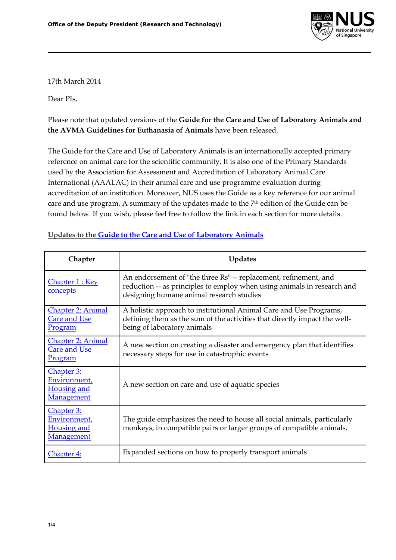

17th March 2014

Dear PIs,

Please note that updated versions of the **Guide for the Care and Use of Laboratory Animals and the AVMA Guidelines for Euthanasia of Animals** have been released.

The Guide for the Care and Use of Laboratory Animals is an internationally accepted primary reference on animal care for the scientific community. It is also one of the Primary Standards used by the Association for Assessment and Accreditation of Laboratory Animal Care International (AAALAC) in their animal care and use programme evaluation during accreditation of an institution. Moreover, NUS uses the Guide as a key reference for our animal care and use program. A summary of the updates made to the 7th edition of the Guide can be found below. If you wish, please feel free to follow the link in each section for more details.

| Chapter                                                        | <b>Updates</b>                                                                                                                                                                          |
|----------------------------------------------------------------|-----------------------------------------------------------------------------------------------------------------------------------------------------------------------------------------|
| Chapter 1 : Key<br>concepts                                    | An endorsement of "the three Rs" -- replacement, refinement, and<br>reduction -- as principles to employ when using animals in research and<br>designing humane animal research studies |
| <b>Chapter 2: Animal</b><br><b>Care and Use</b><br>Program     | A holistic approach to institutional Animal Care and Use Programs,<br>defining them as the sum of the activities that directly impact the well-<br>being of laboratory animals          |
| Chapter 2: Animal<br><b>Care and Use</b><br>Program            | A new section on creating a disaster and emergency plan that identifies<br>necessary steps for use in catastrophic events                                                               |
| Chapter 3:<br>Environment,<br>Housing and<br>Management        | A new section on care and use of aquatic species                                                                                                                                        |
| Chapter 3:<br>Environment,<br><b>Housing and</b><br>Management | The guide emphasizes the need to house all social animals, particularly<br>monkeys, in compatible pairs or larger groups of compatible animals.                                         |
| Chapter 4:                                                     | Expanded sections on how to properly transport animals                                                                                                                                  |

## **Updates to the Guide to the Care and Use of Laboratory Animals**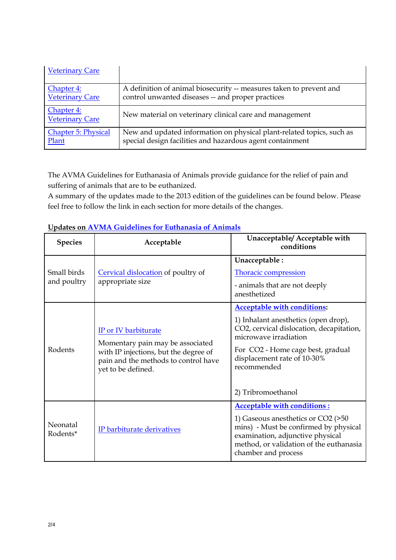| <b>Veterinary Care</b>               |                                                                       |
|--------------------------------------|-----------------------------------------------------------------------|
| Chapter 4:                           | A definition of animal biosecurity -- measures taken to prevent and   |
| <b>Veterinary Care</b>               | control unwanted diseases -- and proper practices                     |
| Chapter 4:<br><b>Veterinary Care</b> | New material on veterinary clinical care and management               |
| <b>Chapter 5: Physical</b>           | New and updated information on physical plant-related topics, such as |
| Plant                                | special design facilities and hazardous agent containment             |

The AVMA Guidelines for Euthanasia of Animals provide guidance for the relief of pain and suffering of animals that are to be euthanized.

A summary of the updates made to the 2013 edition of the guidelines can be found below. Please feel free to follow the link in each section for more details of the changes.

| <b>Species</b>             | Acceptable                                                                                                                                                      | Unacceptable/ Acceptable with<br>conditions                                                                                                                                                                                                              |
|----------------------------|-----------------------------------------------------------------------------------------------------------------------------------------------------------------|----------------------------------------------------------------------------------------------------------------------------------------------------------------------------------------------------------------------------------------------------------|
| Small birds<br>and poultry | Cervical dislocation of poultry of<br>appropriate size                                                                                                          | Unacceptable:<br><b>Thoracic compression</b><br>- animals that are not deeply<br>anesthetized                                                                                                                                                            |
| Rodents                    | IP or IV barbiturate<br>Momentary pain may be associated<br>with IP injections, but the degree of<br>pain and the methods to control have<br>yet to be defined. | <b>Acceptable with conditions:</b><br>1) Inhalant anesthetics (open drop),<br>CO2, cervical dislocation, decapitation,<br>microwave irradiation<br>For CO2 - Home cage best, gradual<br>displacement rate of 10-30%<br>recommended<br>2) Tribromoethanol |
| Neonatal<br>Rodents*       | IP barbiturate derivatives                                                                                                                                      | <b>Acceptable with conditions:</b><br>1) Gaseous anesthetics or CO2 (>50<br>mins) - Must be confirmed by physical<br>examination, adjunctive physical<br>method, or validation of the euthanasia<br>chamber and process                                  |

## **Updates on AVMA Guidelines for Euthanasia of Animals**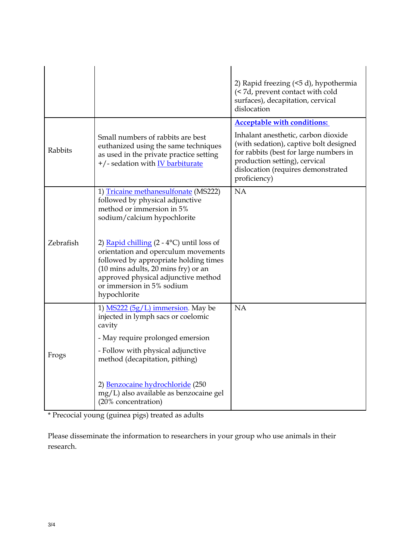|           |                                                                                                                                                                                                                                                                                                                                                                                                            | 2) Rapid freezing (<5 d), hypothermia<br>(< 7d, prevent contact with cold<br>surfaces), decapitation, cervical<br>dislocation                                                                                                                        |
|-----------|------------------------------------------------------------------------------------------------------------------------------------------------------------------------------------------------------------------------------------------------------------------------------------------------------------------------------------------------------------------------------------------------------------|------------------------------------------------------------------------------------------------------------------------------------------------------------------------------------------------------------------------------------------------------|
| Rabbits   | Small numbers of rabbits are best<br>euthanized using the same techniques<br>as used in the private practice setting<br>+/- sedation with <b>IV</b> barbiturate                                                                                                                                                                                                                                            | <b>Acceptable with conditions:</b><br>Inhalant anesthetic, carbon dioxide<br>(with sedation), captive bolt designed<br>for rabbits (best for large numbers in<br>production setting), cervical<br>dislocation (requires demonstrated<br>proficiency) |
| Zebrafish | 1) Tricaine methanesulfonate (MS222)<br>followed by physical adjunctive<br>method or immersion in 5%<br>sodium/calcium hypochlorite<br>2) Rapid chilling $(2 - 4$ <sup>o</sup> C) until loss of<br>orientation and operculum movements<br>followed by appropriate holding times<br>(10 mins adults, 20 mins fry) or an<br>approved physical adjunctive method<br>or immersion in 5% sodium<br>hypochlorite | <b>NA</b>                                                                                                                                                                                                                                            |
| Frogs     | 1) $MS222 (5g/L)$ immersion. May be<br>injected in lymph sacs or coelomic<br>cavity<br>- May require prolonged emersion<br>- Follow with physical adjunctive<br>method (decapitation, pithing)<br>2) Benzocaine hydrochloride (250<br>mg/L) also available as benzocaine gel<br>(20% concentration)                                                                                                        | <b>NA</b>                                                                                                                                                                                                                                            |

\* Precocial young (guinea pigs) treated as adults

Please disseminate the information to researchers in your group who use animals in their research.